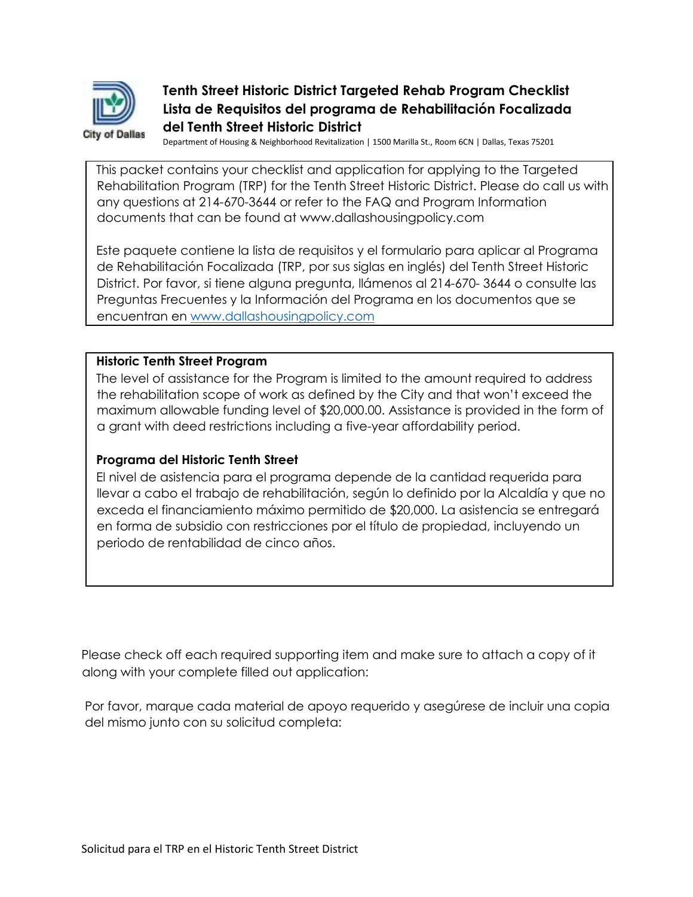

#### **Tenth Street Historic District Targeted Rehab Program Checklist Lista de Requisitos del programa de Rehabilitación Focalizada del Tenth Street Historic District**

Department of Housing & Neighborhood Revitalization | 1500 Marilla St., Room 6CN | Dallas, Texas 75201

This packet contains your checklist and application for applying to the Targeted Rehabilitation Program (TRP) for the Tenth Street Historic District. Please do call us with any questions at 214-670-3644 or refer to the FAQ and Program Information documents that can be found at www.dallashousingpolicy.com

Este paquete contiene la lista de requisitos y el formulario para aplicar al Programa de Rehabilitación Focalizada (TRP, por sus siglas en inglés) del Tenth Street Historic District. Por favor, si tiene alguna pregunta, llámenos al 214-670- 3644 o consulte las Preguntas Frecuentes y la Información del Programa en los documentos que se encuentran en [www.dallashousingpolicy.com](http://www.dallashousingpolicy.com/)

#### **Historic Tenth Street Program**

The level of assistance for the Program is limited to the amount required to address the rehabilitation scope of work as defined by the City and that won't exceed the maximum allowable funding level of \$20,000.00. Assistance is provided in the form of a grant with deed restrictions including a five-year affordability period.

#### **Programa del Historic Tenth Street**

El nivel de asistencia para el programa depende de la cantidad requerida para llevar a cabo el trabajo de rehabilitación, según lo definido por la Alcaldía y que no exceda el financiamiento máximo permitido de \$20,000. La asistencia se entregará en forma de subsidio con restricciones por el título de propiedad, incluyendo un periodo de rentabilidad de cinco años.

Please check off each required supporting item and make sure to attach a copy of it along with your complete filled out application:

Por favor, marque cada material de apoyo requerido y asegúrese de incluir una copia del mismo junto con su solicitud completa: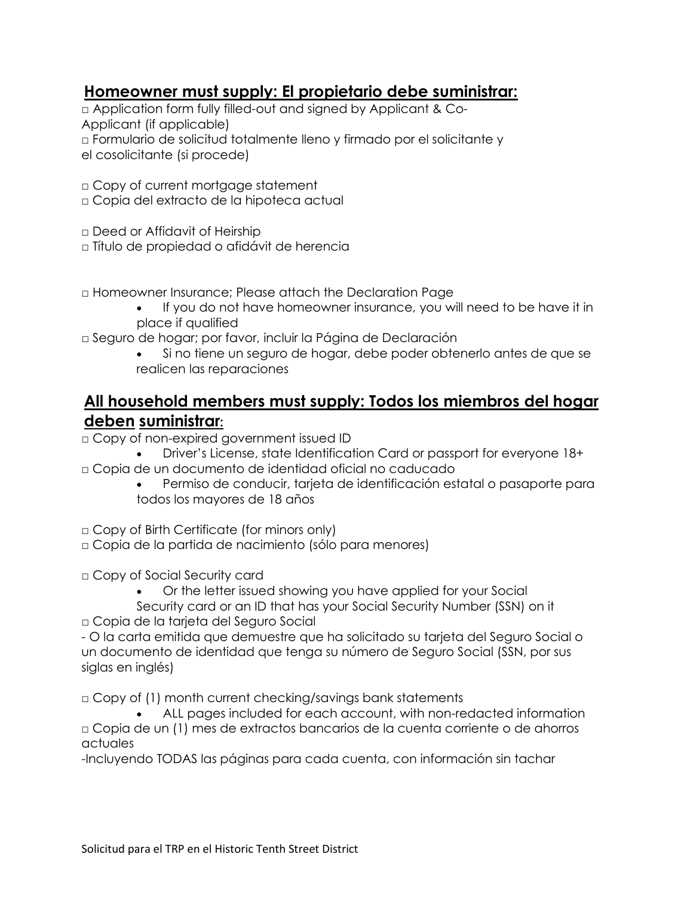### **Homeowner must supply: El propietario debe suministrar:**

□ Application form fully filled-out and signed by Applicant & Co-Applicant (if applicable) □ Formulario de solicitud totalmente lleno y firmado por el solicitante y el cosolicitante (si procede)

□ Copy of current mortgage statement

- □ Copia del extracto de la hipoteca actual
- □ Deed or Affidavit of Heirship
- □ Título de propiedad o afidávit de herencia
- □ Homeowner Insurance; Please attach the Declaration Page
	- If you do not have homeowner insurance, you will need to be have it in place if qualified
- □ Seguro de hogar; por favor, incluir la Página de Declaración
	- Si no tiene un seguro de hogar, debe poder obtenerlo antes de que se realicen las reparaciones

### **All household members must supply: Todos los miembros del hogar deben suministrar:**

- □ Copy of non-expired government issued ID
- Driver's License, state Identification Card or passport for everyone 18+ □ Copia de un documento de identidad oficial no caducado
	- Permiso de conducir, tarjeta de identificación estatal o pasaporte para todos los mayores de 18 años
- □ Copy of Birth Certificate (for minors only)
- □ Copia de la partida de nacimiento (sólo para menores)
- □ Copy of Social Security card
	- Or the letter issued showing you have applied for your Social
- Security card or an ID that has your Social Security Number (SSN) on it □ Copia de la tarjeta del Seguro Social

- O la carta emitida que demuestre que ha solicitado su tarjeta del Seguro Social o un documento de identidad que tenga su número de Seguro Social (SSN, por sus siglas en inglés)

 $\Box$  Copy of (1) month current checking/savings bank statements

• ALL pages included for each account, with non-redacted information □ Copia de un (1) mes de extractos bancarios de la cuenta corriente o de ahorros actuales

-Incluyendo TODAS las páginas para cada cuenta, con información sin tachar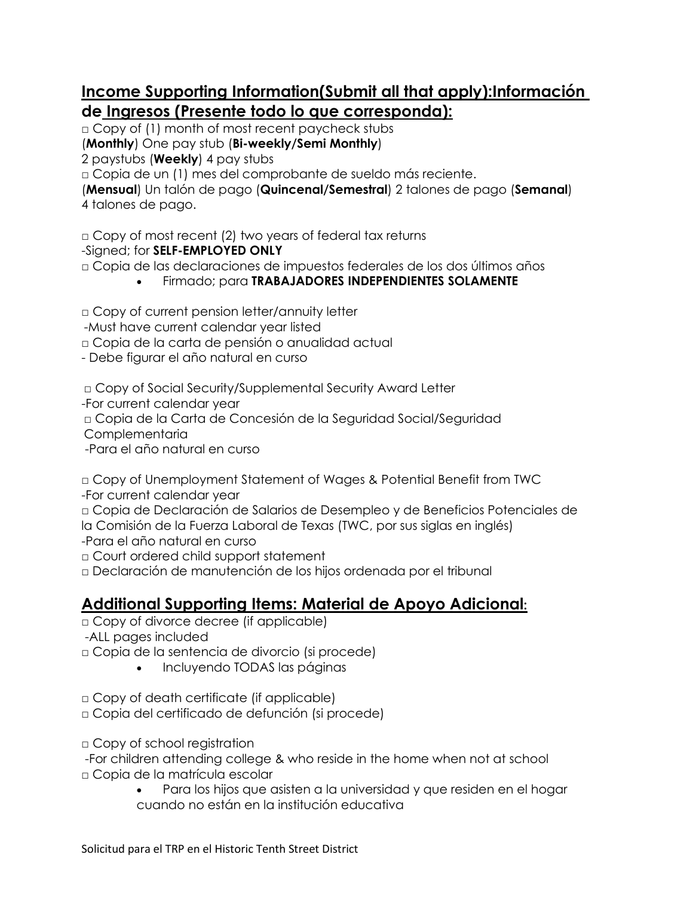# **Income Supporting Information(Submit all that apply):Información de Ingresos (Presente todo lo que corresponda):**

□ Copy of (1) month of most recent paycheck stubs

(**Monthly**) One pay stub (**Bi-weekly/Semi Monthly**)

2 paystubs (**Weekly**) 4 pay stubs

□ Copia de un (1) mes del comprobante de sueldo más reciente.

(**Mensual**) Un talón de pago (**Quincenal/Semestral**) 2 talones de pago (**Semanal**) 4 talones de pago.

□ Copy of most recent (2) two years of federal tax returns

-Signed; for **SELF-EMPLOYED ONLY**

□ Copia de las declaraciones de impuestos federales de los dos últimos años

• Firmado; para **TRABAJADORES INDEPENDIENTES SOLAMENTE**

□ Copy of current pension letter/annuity letter

-Must have current calendar year listed

□ Copia de la carta de pensión o anualidad actual

- Debe figurar el año natural en curso

□ Copy of Social Security/Supplemental Security Award Letter

-For current calendar year

□ Copia de la Carta de Concesión de la Seguridad Social/Seguridad

Complementaria

-Para el año natural en curso

□ Copy of Unemployment Statement of Wages & Potential Benefit from TWC -For current calendar year

□ Copia de Declaración de Salarios de Desempleo y de Beneficios Potenciales de la Comisión de la Fuerza Laboral de Texas (TWC, por sus siglas en inglés)

-Para el año natural en curso

□ Court ordered child support statement

□ Declaración de manutención de los hijos ordenada por el tribunal

## **Additional Supporting Items: Material de Apoyo Adicional:**

□ Copy of divorce decree (if applicable)

-ALL pages included

□ Copia de la sentencia de divorcio (si procede)

- Incluyendo TODAS las páginas
- □ Copy of death certificate (if applicable)

□ Copia del certificado de defunción (si procede)

□ Copy of school registration

-For children attending college & who reside in the home when not at school

- □ Copia de la matrícula escolar
	- Para los hijos que asisten a la universidad y que residen en el hogar cuando no están en la institución educativa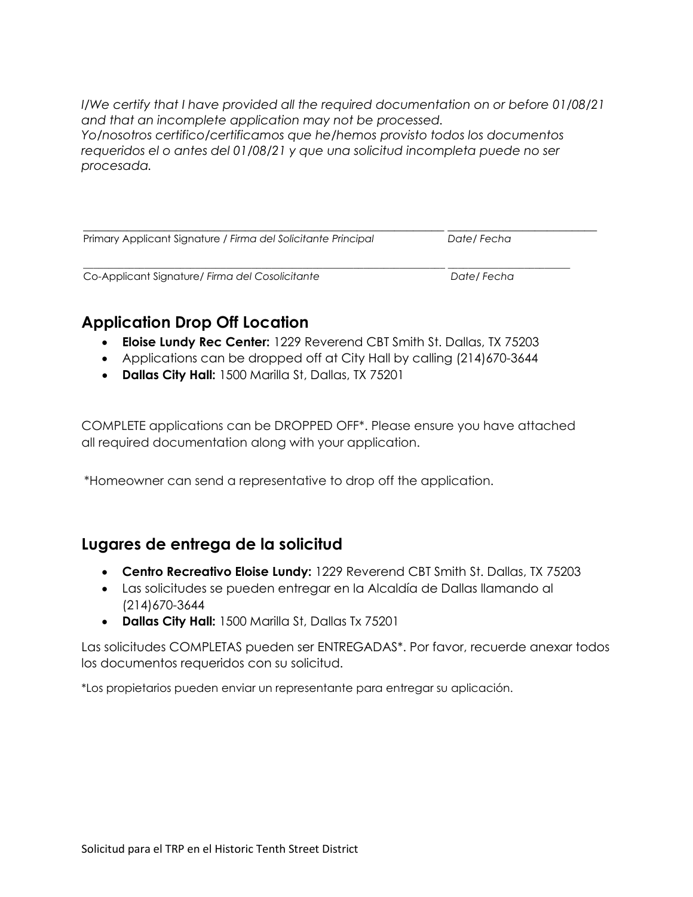*I/We certify that I have provided all the required documentation on or before 01/08/21 and that an incomplete application may not be processed. Yo/nosotros certifico/certificamos que he/hemos provisto todos los documentos requeridos el o antes del 01/08/21 y que una solicitud incompleta puede no ser procesada.*

| Primary Applicant Signature / Firma del Solicitante Principal | Date/ Fecha |  |
|---------------------------------------------------------------|-------------|--|
| Co-Applicant Signature/ Firma del Cosolicitante               | Date/Fecha  |  |

# **Application Drop Off Location**

- **Eloise Lundy Rec Center:** 1229 Reverend CBT Smith St. Dallas, TX 75203
- Applications can be dropped off at City Hall by calling (214)670-3644
- **Dallas City Hall:** 1500 Marilla St, Dallas, TX 75201

COMPLETE applications can be DROPPED OFF\*. Please ensure you have attached all required documentation along with your application.

\*Homeowner can send a representative to drop off the application.

#### **Lugares de entrega de la solicitud**

- **Centro Recreativo Eloise Lundy:** 1229 Reverend CBT Smith St. Dallas, TX 75203
- Las solicitudes se pueden entregar en la Alcaldía de Dallas llamando al (214)670-3644
- **Dallas City Hall:** 1500 Marilla St, Dallas Tx 75201

Las solicitudes COMPLETAS pueden ser ENTREGADAS\*. Por favor, recuerde anexar todos los documentos requeridos con su solicitud.

\*Los propietarios pueden enviar un representante para entregar su aplicación.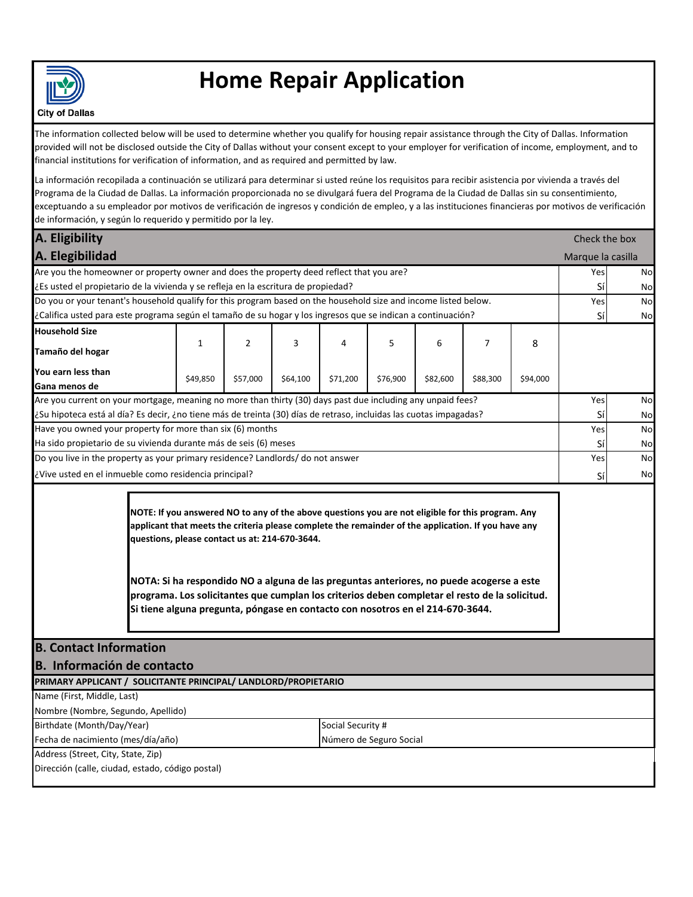

# **Home Repair Application**

**City of Dallas** 

The information collected below will be used to determine whether you qualify for housing repair assistance through the City of Dallas. Information provided will not be disclosed outside the City of Dallas without your consent except to your employer for verification of income, employment, and to financial institutions for verification of information, and as required and permitted by law.

La información recopilada a continuación se utilizará para determinar si usted reúne los requisitos para recibir asistencia por vivienda a través del Programa de la Ciudad de Dallas. La información proporcionada no se divulgará fuera del Programa de la Ciudad de Dallas sin su consentimiento, exceptuando a su empleador por motivos de verificación de ingresos y condición de empleo, y a las instituciones financieras por motivos de verificación de información, y según lo requerido y permitido por la ley.

| A. Eligibility                                                                                                     |              |                |                                                |          |                                                                                                                                                                                                                                                                                                                                                                                                                                                                                          |          |          | Check the box |                   |    |
|--------------------------------------------------------------------------------------------------------------------|--------------|----------------|------------------------------------------------|----------|------------------------------------------------------------------------------------------------------------------------------------------------------------------------------------------------------------------------------------------------------------------------------------------------------------------------------------------------------------------------------------------------------------------------------------------------------------------------------------------|----------|----------|---------------|-------------------|----|
| A. Elegibilidad                                                                                                    |              |                |                                                |          |                                                                                                                                                                                                                                                                                                                                                                                                                                                                                          |          |          |               | Marque la casilla |    |
| Are you the homeowner or property owner and does the property deed reflect that you are?                           |              |                |                                                |          |                                                                                                                                                                                                                                                                                                                                                                                                                                                                                          |          |          |               | Yes               | No |
| ¿Es usted el propietario de la vivienda y se refleja en la escritura de propiedad?                                 |              |                |                                                |          |                                                                                                                                                                                                                                                                                                                                                                                                                                                                                          |          |          |               | Sí                | No |
| Do you or your tenant's household qualify for this program based on the household size and income listed below.    |              |                |                                                |          |                                                                                                                                                                                                                                                                                                                                                                                                                                                                                          |          |          |               | Yes               | No |
| ¿Califica usted para este programa según el tamaño de su hogar y los ingresos que se indican a continuación?       |              |                |                                                |          |                                                                                                                                                                                                                                                                                                                                                                                                                                                                                          |          |          |               | Sí                | No |
| <b>Household Size</b>                                                                                              |              |                |                                                |          |                                                                                                                                                                                                                                                                                                                                                                                                                                                                                          |          |          |               |                   |    |
| Tamaño del hogar                                                                                                   | $\mathbf{1}$ | $\overline{2}$ | 3                                              | 4        | 5                                                                                                                                                                                                                                                                                                                                                                                                                                                                                        | 6        | 7        | 8             |                   |    |
| You earn less than                                                                                                 |              |                |                                                |          |                                                                                                                                                                                                                                                                                                                                                                                                                                                                                          |          |          |               |                   |    |
| Gana menos de                                                                                                      | \$49,850     | \$57,000       | \$64,100                                       | \$71,200 | \$76,900                                                                                                                                                                                                                                                                                                                                                                                                                                                                                 | \$82,600 | \$88,300 | \$94,000      |                   |    |
| Are you current on your mortgage, meaning no more than thirty (30) days past due including any unpaid fees?        |              |                |                                                |          |                                                                                                                                                                                                                                                                                                                                                                                                                                                                                          |          |          |               | Yes               | No |
| ¿Su hipoteca está al día? Es decir, ¿no tiene más de treinta (30) días de retraso, incluidas las cuotas impagadas? |              |                |                                                |          |                                                                                                                                                                                                                                                                                                                                                                                                                                                                                          |          |          |               | Sí                | No |
| Have you owned your property for more than six (6) months                                                          |              |                |                                                |          |                                                                                                                                                                                                                                                                                                                                                                                                                                                                                          |          |          |               | Yes               | No |
| Ha sido propietario de su vivienda durante más de seis (6) meses                                                   |              |                |                                                |          |                                                                                                                                                                                                                                                                                                                                                                                                                                                                                          |          |          |               | Sí                | No |
| Do you live in the property as your primary residence? Landlords/ do not answer                                    |              |                |                                                |          |                                                                                                                                                                                                                                                                                                                                                                                                                                                                                          |          |          |               | Yes               | No |
| ¿Vive usted en el inmueble como residencia principal?                                                              |              |                |                                                |          |                                                                                                                                                                                                                                                                                                                                                                                                                                                                                          |          |          |               | Sí                | No |
|                                                                                                                    |              |                | questions, please contact us at: 214-670-3644. |          | NOTE: If you answered NO to any of the above questions you are not eligible for this program. Any<br>applicant that meets the criteria please complete the remainder of the application. If you have any<br>NOTA: Si ha respondido NO a alguna de las preguntas anteriores, no puede acogerse a este<br>programa. Los solicitantes que cumplan los criterios deben completar el resto de la solicitud.<br>Si tiene alguna pregunta, póngase en contacto con nosotros en el 214-670-3644. |          |          |               |                   |    |
| <b>B. Contact Information</b>                                                                                      |              |                |                                                |          |                                                                                                                                                                                                                                                                                                                                                                                                                                                                                          |          |          |               |                   |    |
| B. Información de contacto                                                                                         |              |                |                                                |          |                                                                                                                                                                                                                                                                                                                                                                                                                                                                                          |          |          |               |                   |    |
| PRIMARY APPLICANT / SOLICITANTE PRINCIPAL/ LANDLORD/PROPIETARIO                                                    |              |                |                                                |          |                                                                                                                                                                                                                                                                                                                                                                                                                                                                                          |          |          |               |                   |    |
| Name (First, Middle, Last)                                                                                         |              |                |                                                |          |                                                                                                                                                                                                                                                                                                                                                                                                                                                                                          |          |          |               |                   |    |
| Nombre (Nombre, Segundo, Apellido)                                                                                 |              |                |                                                |          |                                                                                                                                                                                                                                                                                                                                                                                                                                                                                          |          |          |               |                   |    |
| Birthdate (Month/Day/Year)<br>Social Security #                                                                    |              |                |                                                |          |                                                                                                                                                                                                                                                                                                                                                                                                                                                                                          |          |          |               |                   |    |
| Fecha de nacimiento (mes/día/año)<br>Número de Seguro Social                                                       |              |                |                                                |          |                                                                                                                                                                                                                                                                                                                                                                                                                                                                                          |          |          |               |                   |    |
| Address (Street, City, State, Zip)<br>Dirección (calle, ciudad, estado, código postal)                             |              |                |                                                |          |                                                                                                                                                                                                                                                                                                                                                                                                                                                                                          |          |          |               |                   |    |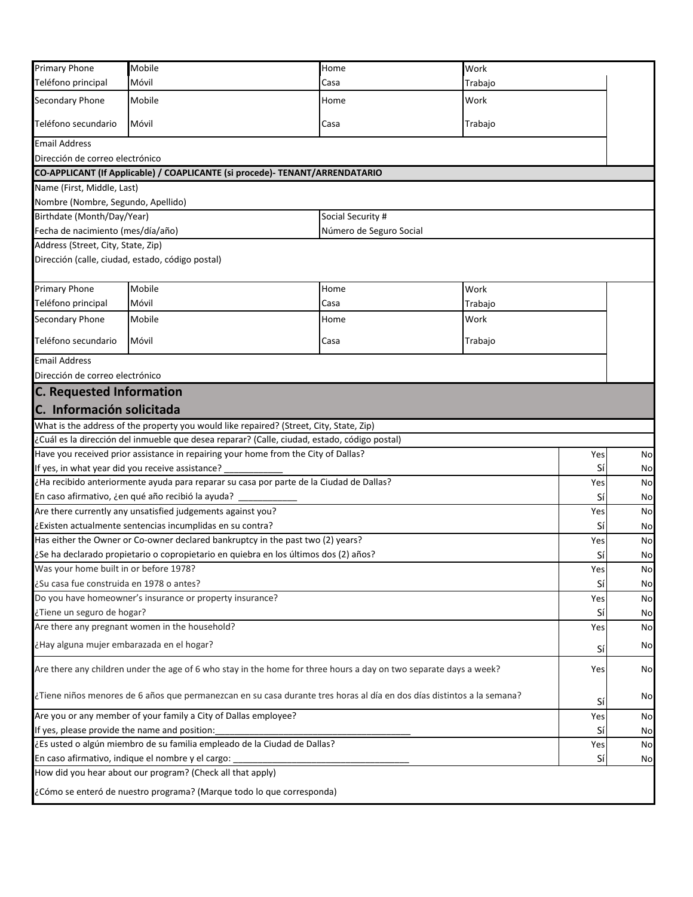| Primary Phone                                                                                                                | Mobile                                                                                                            | Home                    | Work    |    |  |
|------------------------------------------------------------------------------------------------------------------------------|-------------------------------------------------------------------------------------------------------------------|-------------------------|---------|----|--|
| Teléfono principal                                                                                                           | Móvil                                                                                                             | Casa                    | Trabajo |    |  |
| Secondary Phone                                                                                                              | Mobile                                                                                                            | Home                    | Work    |    |  |
| Teléfono secundario                                                                                                          | Móvil                                                                                                             | Casa                    | Trabajo |    |  |
| <b>Email Address</b>                                                                                                         |                                                                                                                   |                         |         |    |  |
| Dirección de correo electrónico                                                                                              |                                                                                                                   |                         |         |    |  |
|                                                                                                                              | CO-APPLICANT (If Applicable) / COAPLICANTE (si procede)- TENANT/ARRENDATARIO                                      |                         |         |    |  |
| Name (First, Middle, Last)                                                                                                   |                                                                                                                   |                         |         |    |  |
| Nombre (Nombre, Segundo, Apellido)                                                                                           |                                                                                                                   |                         |         |    |  |
| Birthdate (Month/Day/Year)                                                                                                   |                                                                                                                   | Social Security #       |         |    |  |
| Fecha de nacimiento (mes/día/año)                                                                                            |                                                                                                                   | Número de Seguro Social |         |    |  |
| Address (Street, City, State, Zip)                                                                                           |                                                                                                                   |                         |         |    |  |
| Dirección (calle, ciudad, estado, código postal)                                                                             |                                                                                                                   |                         |         |    |  |
| <b>Primary Phone</b>                                                                                                         | Mobile                                                                                                            | Home                    | Work    |    |  |
| Teléfono principal                                                                                                           | Móvil                                                                                                             | Casa                    | Trabajo |    |  |
| <b>Secondary Phone</b>                                                                                                       | Mobile                                                                                                            | Home                    | Work    |    |  |
| Teléfono secundario                                                                                                          | Móvil                                                                                                             | Casa                    | Trabajo |    |  |
| <b>Email Address</b>                                                                                                         |                                                                                                                   |                         |         |    |  |
| Dirección de correo electrónico                                                                                              |                                                                                                                   |                         |         |    |  |
| <b>C. Requested Information</b>                                                                                              |                                                                                                                   |                         |         |    |  |
| C. Información solicitada                                                                                                    |                                                                                                                   |                         |         |    |  |
|                                                                                                                              | What is the address of the property you would like repaired? (Street, City, State, Zip)                           |                         |         |    |  |
|                                                                                                                              | ¿Cuál es la dirección del inmueble que desea reparar? (Calle, ciudad, estado, código postal)                      |                         |         |    |  |
|                                                                                                                              | Have you received prior assistance in repairing your home from the City of Dallas?                                |                         | Yes     | No |  |
| If yes, in what year did you receive assistance?                                                                             |                                                                                                                   |                         | Sí      | No |  |
|                                                                                                                              | ¿Ha recibido anteriormente ayuda para reparar su casa por parte de la Ciudad de Dallas?                           |                         | Yes     | No |  |
|                                                                                                                              | En caso afirmativo, ¿en qué año recibió la ayuda?                                                                 |                         | Sí      | No |  |
|                                                                                                                              | Are there currently any unsatisfied judgements against you?                                                       |                         | Yes     | No |  |
|                                                                                                                              | ¿Existen actualmente sentencias incumplidas en su contra?                                                         |                         | Sí      | No |  |
|                                                                                                                              | Has either the Owner or Co-owner declared bankruptcy in the past two (2) years?                                   |                         | Yes     | No |  |
|                                                                                                                              | ¿Se ha declarado propietario o copropietario en quiebra en los últimos dos (2) años?                              |                         | Sí      | No |  |
| Was your home built in or before 1978?                                                                                       |                                                                                                                   |                         | Yes     | No |  |
| ¿Su casa fue construida en 1978 o antes?                                                                                     |                                                                                                                   |                         | Sí      | No |  |
|                                                                                                                              | Do you have homeowner's insurance or property insurance?                                                          |                         | Yes     | No |  |
| ¿Tiene un seguro de hogar?                                                                                                   |                                                                                                                   |                         | Sí      | No |  |
|                                                                                                                              | Are there any pregnant women in the household?                                                                    |                         | Yes     | No |  |
| ¿Hay alguna mujer embarazada en el hogar?                                                                                    |                                                                                                                   |                         | Sí      | No |  |
|                                                                                                                              | Are there any children under the age of 6 who stay in the home for three hours a day on two separate days a week? |                         | Yes     | No |  |
| ¿Tiene niños menores de 6 años que permanezcan en su casa durante tres horas al día en dos días distintos a la semana?<br>Sí |                                                                                                                   |                         |         |    |  |
| Are you or any member of your family a City of Dallas employee?<br>Yes                                                       |                                                                                                                   |                         |         |    |  |
| If yes, please provide the name and position:<br>Sí                                                                          |                                                                                                                   |                         |         |    |  |
| ¿Es usted o algún miembro de su familia empleado de la Ciudad de Dallas?<br>Yes                                              |                                                                                                                   |                         |         |    |  |
|                                                                                                                              | En caso afirmativo, indique el nombre y el cargo:                                                                 |                         | Sí      | No |  |
|                                                                                                                              | How did you hear about our program? (Check all that apply)                                                        |                         |         |    |  |
|                                                                                                                              | ¿Cómo se enteró de nuestro programa? (Marque todo lo que corresponda)                                             |                         |         |    |  |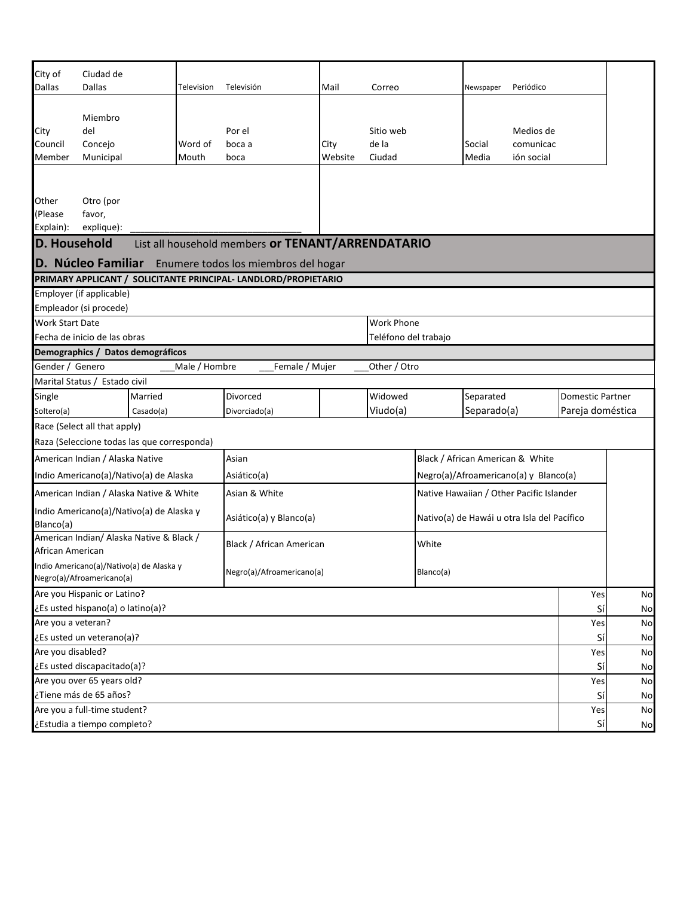| City of                     | Ciudad de                         |                                             |               |                                                                 |         |                      |           |             |                                             |                         |    |
|-----------------------------|-----------------------------------|---------------------------------------------|---------------|-----------------------------------------------------------------|---------|----------------------|-----------|-------------|---------------------------------------------|-------------------------|----|
| <b>Dallas</b>               | <b>Dallas</b>                     |                                             | Television    | Televisión                                                      | Mail    | Correo               |           | Newspaper   | Periódico                                   |                         |    |
|                             |                                   |                                             |               |                                                                 |         |                      |           |             |                                             |                         |    |
|                             | Miembro                           |                                             |               |                                                                 |         |                      |           |             |                                             |                         |    |
| City                        | del                               |                                             |               | Por el                                                          |         | Sitio web            |           |             | Medios de                                   |                         |    |
| Council                     | Concejo                           |                                             | Word of       | boca a                                                          | City    | de la                |           | Social      | comunicac                                   |                         |    |
| Member                      | Municipal                         |                                             | Mouth         | boca                                                            | Website | Ciudad               |           | Media       | ión social                                  |                         |    |
|                             |                                   |                                             |               |                                                                 |         |                      |           |             |                                             |                         |    |
|                             |                                   |                                             |               |                                                                 |         |                      |           |             |                                             |                         |    |
| Other                       | Otro (por                         |                                             |               |                                                                 |         |                      |           |             |                                             |                         |    |
| (Please<br>Explain):        | favor,<br>explique):              |                                             |               |                                                                 |         |                      |           |             |                                             |                         |    |
| D. Household                |                                   |                                             |               | List all household members or TENANT/ARRENDATARIO               |         |                      |           |             |                                             |                         |    |
|                             | D. Núcleo Familiar                |                                             |               | Enumere todos los miembros del hogar                            |         |                      |           |             |                                             |                         |    |
|                             |                                   |                                             |               | PRIMARY APPLICANT / SOLICITANTE PRINCIPAL- LANDLORD/PROPIETARIO |         |                      |           |             |                                             |                         |    |
|                             | Employer (if applicable)          |                                             |               |                                                                 |         |                      |           |             |                                             |                         |    |
|                             | Empleador (si procede)            |                                             |               |                                                                 |         |                      |           |             |                                             |                         |    |
| <b>Work Start Date</b>      |                                   |                                             |               |                                                                 |         | Work Phone           |           |             |                                             |                         |    |
|                             | Fecha de inicio de las obras      |                                             |               |                                                                 |         | Teléfono del trabajo |           |             |                                             |                         |    |
|                             |                                   | Demographics / Datos demográficos           |               |                                                                 |         |                      |           |             |                                             |                         |    |
| Gender / Genero             |                                   |                                             | Male / Hombre | Female / Mujer                                                  |         | Other / Otro         |           |             |                                             |                         |    |
|                             | Marital Status / Estado civil     |                                             |               |                                                                 |         |                      |           |             |                                             |                         |    |
| Single                      |                                   | Married                                     |               | Divorced                                                        |         | Widowed              |           | Separated   |                                             | <b>Domestic Partner</b> |    |
| Soltero(a)                  |                                   | Casado(a)                                   |               | Divorciado(a)                                                   |         | Viudo(a)             |           | Separado(a) |                                             | Pareja doméstica        |    |
|                             | Race (Select all that apply)      |                                             |               |                                                                 |         |                      |           |             |                                             |                         |    |
|                             |                                   | Raza (Seleccione todas las que corresponda) |               |                                                                 |         |                      |           |             |                                             |                         |    |
|                             | American Indian / Alaska Native   |                                             |               | Asian                                                           |         |                      |           |             | Black / African American & White            |                         |    |
|                             |                                   | Indio Americano(a)/Nativo(a) de Alaska      |               | Asiático(a)                                                     |         |                      |           |             | Negro(a)/Afroamericano(a) y Blanco(a)       |                         |    |
|                             |                                   | American Indian / Alaska Native & White     |               | Asian & White                                                   |         |                      |           |             | Native Hawaiian / Other Pacific Islander    |                         |    |
| Blanco(a)                   |                                   | Indio Americano(a)/Nativo(a) de Alaska y    |               | Asiático(a) y Blanco(a)                                         |         |                      |           |             | Nativo(a) de Hawái u otra Isla del Pacífico |                         |    |
| African American            |                                   | American Indian/ Alaska Native & Black /    |               | Black / African American                                        |         |                      | White     |             |                                             |                         |    |
|                             | Negro(a)/Afroamericano(a)         | Indio Americano(a)/Nativo(a) de Alaska y    |               | Negro(a)/Afroamericano(a)                                       |         |                      | Blanco(a) |             |                                             |                         |    |
|                             | Are you Hispanic or Latino?       |                                             |               |                                                                 |         |                      |           |             |                                             | Yes                     | No |
|                             | ¿Es usted hispano(a) o latino(a)? |                                             |               |                                                                 |         |                      |           |             |                                             | Sí                      | No |
| Are you a veteran?          |                                   |                                             |               |                                                                 |         | Yes                  | No        |             |                                             |                         |    |
| ¿Es usted un veterano(a)?   |                                   |                                             |               |                                                                 |         | Sí                   | No        |             |                                             |                         |    |
| Are you disabled?           |                                   |                                             |               |                                                                 |         | Yes                  | No        |             |                                             |                         |    |
|                             | ¿Es usted discapacitado(a)?       |                                             |               |                                                                 |         |                      |           |             |                                             | Sí                      | No |
|                             | Are you over 65 years old?        |                                             |               |                                                                 |         |                      |           |             |                                             | Yes                     | No |
|                             | ¿Tiene más de 65 años?            |                                             |               |                                                                 |         |                      |           |             |                                             | Sí                      | No |
|                             | Are you a full-time student?      |                                             |               |                                                                 |         |                      |           |             |                                             | Yes                     | No |
| ¿Estudia a tiempo completo? |                                   |                                             |               |                                                                 |         |                      | Sí        | No          |                                             |                         |    |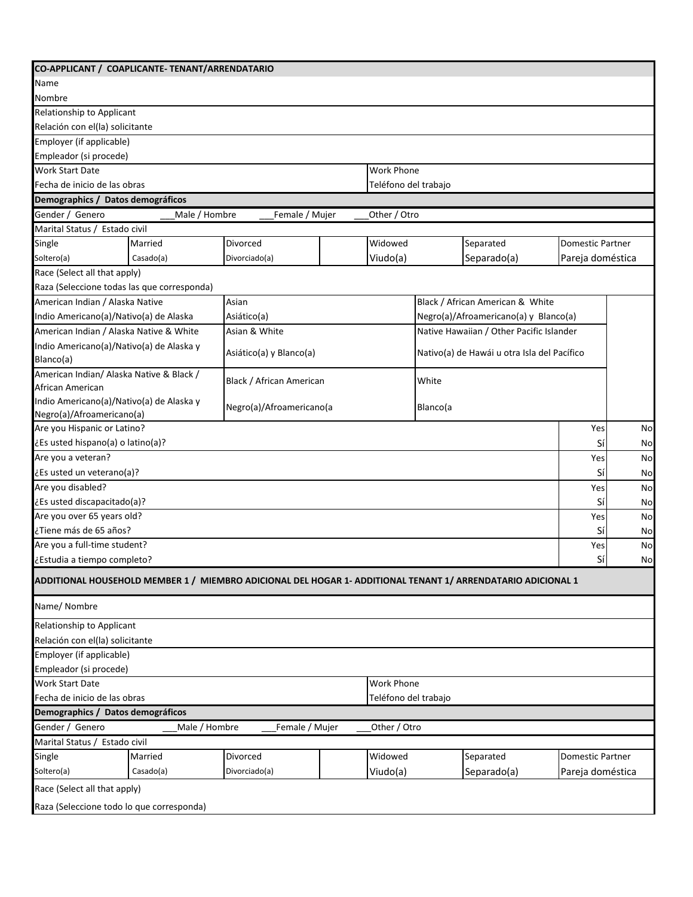| CO-APPLICANT / COAPLICANTE-TENANT/ARRENDATARIO       |               |                                                                                                              |  |                      |          |                                             |                         |    |
|------------------------------------------------------|---------------|--------------------------------------------------------------------------------------------------------------|--|----------------------|----------|---------------------------------------------|-------------------------|----|
| Name                                                 |               |                                                                                                              |  |                      |          |                                             |                         |    |
| Nombre                                               |               |                                                                                                              |  |                      |          |                                             |                         |    |
| Relationship to Applicant                            |               |                                                                                                              |  |                      |          |                                             |                         |    |
| Relación con el(la) solicitante                      |               |                                                                                                              |  |                      |          |                                             |                         |    |
| Employer (if applicable)                             |               |                                                                                                              |  |                      |          |                                             |                         |    |
| Empleador (si procede)                               |               |                                                                                                              |  |                      |          |                                             |                         |    |
| <b>Work Start Date</b>                               |               |                                                                                                              |  | <b>Work Phone</b>    |          |                                             |                         |    |
| Fecha de inicio de las obras                         |               |                                                                                                              |  | Teléfono del trabajo |          |                                             |                         |    |
| Demographics / Datos demográficos                    |               |                                                                                                              |  |                      |          |                                             |                         |    |
| Gender / Genero                                      | Male / Hombre | Female / Mujer                                                                                               |  | Other / Otro         |          |                                             |                         |    |
| Marital Status / Estado civil                        |               |                                                                                                              |  |                      |          |                                             |                         |    |
| Single                                               | Married       | Divorced                                                                                                     |  | Widowed              |          | Separated                                   | <b>Domestic Partner</b> |    |
| Soltero(a)                                           | Casado(a)     | Divorciado(a)                                                                                                |  | Viudo(a)             |          | Separado(a)                                 | Pareja doméstica        |    |
| Race (Select all that apply)                         |               |                                                                                                              |  |                      |          |                                             |                         |    |
| Raza (Seleccione todas las que corresponda)          |               |                                                                                                              |  |                      |          |                                             |                         |    |
| American Indian / Alaska Native                      |               | Asian                                                                                                        |  |                      |          | Black / African American & White            |                         |    |
| Indio Americano(a)/Nativo(a) de Alaska               |               | Asiático(a)                                                                                                  |  |                      |          | Negro(a)/Afroamericano(a) y Blanco(a)       |                         |    |
| American Indian / Alaska Native & White              |               | Asian & White                                                                                                |  |                      |          | Native Hawaiian / Other Pacific Islander    |                         |    |
| Indio Americano(a)/Nativo(a) de Alaska y             |               |                                                                                                              |  |                      |          |                                             |                         |    |
| Blanco(a)                                            |               | Asiático(a) y Blanco(a)                                                                                      |  |                      |          | Nativo(a) de Hawái u otra Isla del Pacífico |                         |    |
| American Indian/ Alaska Native & Black /             |               |                                                                                                              |  |                      |          |                                             |                         |    |
| African American                                     |               | Black / African American                                                                                     |  |                      | White    |                                             |                         |    |
| Indio Americano(a)/Nativo(a) de Alaska y             |               |                                                                                                              |  |                      |          |                                             |                         |    |
| Negro(a)/Afroamericano(a)                            |               | Negro(a)/Afroamericano(a                                                                                     |  |                      | Blanco(a |                                             |                         |    |
| Are you Hispanic or Latino?                          |               |                                                                                                              |  |                      |          |                                             | Yes                     | No |
| ¿Es usted hispano(a) o latino(a)?                    |               |                                                                                                              |  |                      |          |                                             | Sí                      | No |
| Are you a veteran?                                   |               |                                                                                                              |  |                      |          |                                             | Yes                     | No |
| ¿Es usted un veterano(a)?                            |               |                                                                                                              |  |                      |          |                                             | Sí                      | No |
| Are you disabled?                                    |               |                                                                                                              |  |                      |          |                                             | Yes                     | No |
| ¿Es usted discapacitado(a)?                          |               |                                                                                                              |  |                      |          |                                             | Sí                      | No |
| Are you over 65 years old?                           |               |                                                                                                              |  |                      |          |                                             | Yes                     | No |
| ¿Tiene más de 65 años?                               |               |                                                                                                              |  |                      |          |                                             | Sí                      | No |
| Are you a full-time student?                         |               |                                                                                                              |  |                      |          |                                             | Yes                     | No |
| ¿Estudia a tiempo completo?                          |               |                                                                                                              |  |                      |          |                                             | Sí                      | No |
|                                                      |               | ADDITIONAL HOUSEHOLD MEMBER 1 / MIEMBRO ADICIONAL DEL HOGAR 1- ADDITIONAL TENANT 1/ ARRENDATARIO ADICIONAL 1 |  |                      |          |                                             |                         |    |
| Name/ Nombre                                         |               |                                                                                                              |  |                      |          |                                             |                         |    |
| Relationship to Applicant                            |               |                                                                                                              |  |                      |          |                                             |                         |    |
| Relación con el(la) solicitante                      |               |                                                                                                              |  |                      |          |                                             |                         |    |
| Employer (if applicable)                             |               |                                                                                                              |  |                      |          |                                             |                         |    |
| Empleador (si procede)                               |               |                                                                                                              |  |                      |          |                                             |                         |    |
| <b>Work Start Date</b>                               |               |                                                                                                              |  | <b>Work Phone</b>    |          |                                             |                         |    |
| Fecha de inicio de las obras<br>Teléfono del trabajo |               |                                                                                                              |  |                      |          |                                             |                         |    |
| Demographics / Datos demográficos                    |               |                                                                                                              |  |                      |          |                                             |                         |    |
| Gender / Genero                                      | Male / Hombre | Female / Mujer                                                                                               |  | Other / Otro         |          |                                             |                         |    |
| Marital Status / Estado civil                        |               |                                                                                                              |  |                      |          |                                             |                         |    |
| Single                                               | Married       | Divorced                                                                                                     |  | Widowed              |          | Separated                                   | Domestic Partner        |    |
| Soltero(a)                                           | Casado(a)     | Divorciado(a)                                                                                                |  | Viudo(a)             |          | Separado(a)                                 | Pareja doméstica        |    |
| Race (Select all that apply)                         |               |                                                                                                              |  |                      |          |                                             |                         |    |
| Raza (Seleccione todo lo que corresponda)            |               |                                                                                                              |  |                      |          |                                             |                         |    |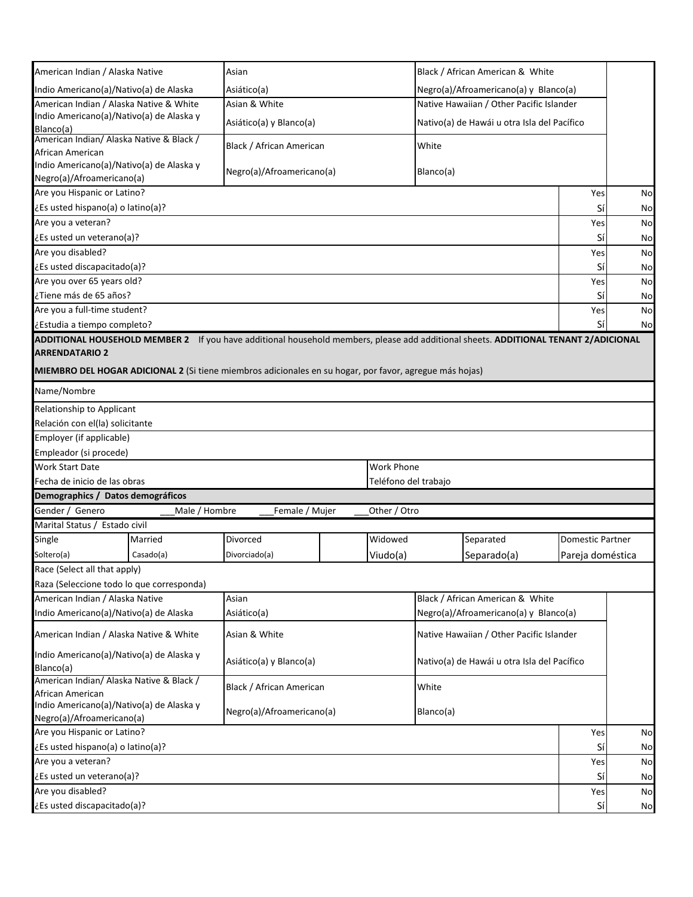| American Indian / Alaska Native                                                    |               | Asian                                                                                                                               |  |                      | Black / African American & White         |                                             |                  |    |
|------------------------------------------------------------------------------------|---------------|-------------------------------------------------------------------------------------------------------------------------------------|--|----------------------|------------------------------------------|---------------------------------------------|------------------|----|
| Indio Americano(a)/Nativo(a) de Alaska                                             |               | Asiático(a)                                                                                                                         |  |                      | Negro(a)/Afroamericano(a) y Blanco(a)    |                                             |                  |    |
| American Indian / Alaska Native & White                                            |               | Asian & White                                                                                                                       |  |                      | Native Hawaiian / Other Pacific Islander |                                             |                  |    |
| Indio Americano(a)/Nativo(a) de Alaska y                                           |               | Asiático(a) y Blanco(a)                                                                                                             |  |                      |                                          | Nativo(a) de Hawái u otra Isla del Pacífico |                  |    |
| Blanco(a)                                                                          |               |                                                                                                                                     |  |                      |                                          |                                             |                  |    |
| American Indian/ Alaska Native & Black /<br>African American                       |               | Black / African American                                                                                                            |  |                      | White                                    |                                             |                  |    |
| Indio Americano(a)/Nativo(a) de Alaska y                                           |               |                                                                                                                                     |  |                      |                                          |                                             |                  |    |
| Negro(a)/Afroamericano(a)                                                          |               | Negro(a)/Afroamericano(a)                                                                                                           |  |                      | Blanco(a)                                |                                             |                  |    |
| Are you Hispanic or Latino?                                                        |               |                                                                                                                                     |  |                      |                                          |                                             | Yes              | No |
| ¿Es usted hispano(a) o latino(a)?                                                  |               |                                                                                                                                     |  |                      |                                          |                                             | Sí               | No |
| Are you a veteran?                                                                 |               |                                                                                                                                     |  |                      |                                          |                                             | Yes              | No |
| ¿Es usted un veterano(a)?                                                          |               |                                                                                                                                     |  |                      |                                          |                                             | Sí               | No |
| Are you disabled?                                                                  |               |                                                                                                                                     |  |                      |                                          |                                             | Yes              | No |
| ¿Es usted discapacitado(a)?                                                        |               |                                                                                                                                     |  |                      |                                          |                                             | Sí               |    |
| Are you over 65 years old?                                                         |               |                                                                                                                                     |  |                      |                                          |                                             |                  | No |
| ¿Tiene más de 65 años?                                                             |               |                                                                                                                                     |  |                      |                                          |                                             | Yes<br>Sí        | No |
|                                                                                    |               |                                                                                                                                     |  |                      |                                          |                                             |                  | No |
| Are you a full-time student?                                                       |               |                                                                                                                                     |  |                      |                                          |                                             | Yes              | No |
| ¿Estudia a tiempo completo?                                                        |               |                                                                                                                                     |  |                      |                                          |                                             | Sí               | No |
|                                                                                    |               | ADDITIONAL HOUSEHOLD MEMBER 2 If you have additional household members, please add additional sheets. ADDITIONAL TENANT 2/ADICIONAL |  |                      |                                          |                                             |                  |    |
| <b>ARRENDATARIO 2</b>                                                              |               |                                                                                                                                     |  |                      |                                          |                                             |                  |    |
|                                                                                    |               | MIEMBRO DEL HOGAR ADICIONAL 2 (Si tiene miembros adicionales en su hogar, por favor, agregue más hojas)                             |  |                      |                                          |                                             |                  |    |
| Name/Nombre                                                                        |               |                                                                                                                                     |  |                      |                                          |                                             |                  |    |
| Relationship to Applicant                                                          |               |                                                                                                                                     |  |                      |                                          |                                             |                  |    |
| Relación con el(la) solicitante                                                    |               |                                                                                                                                     |  |                      |                                          |                                             |                  |    |
| Employer (if applicable)                                                           |               |                                                                                                                                     |  |                      |                                          |                                             |                  |    |
| Empleador (si procede)                                                             |               |                                                                                                                                     |  |                      |                                          |                                             |                  |    |
| <b>Work Start Date</b>                                                             |               |                                                                                                                                     |  | <b>Work Phone</b>    |                                          |                                             |                  |    |
| Fecha de inicio de las obras                                                       |               |                                                                                                                                     |  | Teléfono del trabajo |                                          |                                             |                  |    |
| Demographics / Datos demográficos                                                  |               |                                                                                                                                     |  |                      |                                          |                                             |                  |    |
| Gender / Genero                                                                    | Male / Hombre |                                                                                                                                     |  | Other / Otro         |                                          |                                             |                  |    |
|                                                                                    |               | Female / Mujer                                                                                                                      |  |                      |                                          |                                             |                  |    |
| Marital Status / Estado civil                                                      |               |                                                                                                                                     |  |                      |                                          |                                             |                  |    |
| Single                                                                             | Married       | Divorced                                                                                                                            |  | Widowed              |                                          | Separated                                   | Domestic Partner |    |
| Soltero(a)                                                                         | Casado(a)     | Divorciado(a)                                                                                                                       |  | Viudo(a)             |                                          | Separado(a)                                 | Pareja doméstica |    |
| Race (Select all that apply)                                                       |               |                                                                                                                                     |  |                      |                                          |                                             |                  |    |
| Raza (Seleccione todo lo que corresponda)                                          |               |                                                                                                                                     |  |                      |                                          |                                             |                  |    |
| American Indian / Alaska Native                                                    |               | Asian                                                                                                                               |  |                      |                                          | Black / African American & White            |                  |    |
| Indio Americano(a)/Nativo(a) de Alaska                                             |               | Asiático(a)                                                                                                                         |  |                      |                                          | Negro(a)/Afroamericano(a) y Blanco(a)       |                  |    |
| American Indian / Alaska Native & White                                            |               | Asian & White                                                                                                                       |  |                      |                                          | Native Hawaiian / Other Pacific Islander    |                  |    |
| Indio Americano(a)/Nativo(a) de Alaska y                                           |               |                                                                                                                                     |  |                      |                                          |                                             |                  |    |
| Blanco(a)                                                                          |               | Asiático(a) y Blanco(a)<br>Nativo(a) de Hawái u otra Isla del Pacífico                                                              |  |                      |                                          |                                             |                  |    |
| American Indian/ Alaska Native & Black /                                           |               |                                                                                                                                     |  |                      |                                          |                                             |                  |    |
| African American                                                                   |               | Black / African American<br>White                                                                                                   |  |                      |                                          |                                             |                  |    |
| Indio Americano(a)/Nativo(a) de Alaska y<br>Negro(a)/Afroamericano(a)<br>Blanco(a) |               |                                                                                                                                     |  |                      |                                          |                                             |                  |    |
| Negro(a)/Afroamericano(a)                                                          |               |                                                                                                                                     |  |                      |                                          |                                             |                  |    |
| Are you Hispanic or Latino?                                                        |               |                                                                                                                                     |  |                      |                                          |                                             | Yes              | No |
| ¿Es usted hispano(a) o latino(a)?                                                  |               |                                                                                                                                     |  |                      |                                          |                                             | Sí               | No |
| Are you a veteran?                                                                 |               |                                                                                                                                     |  |                      |                                          |                                             | Yes              | No |
| ¿Es usted un veterano(a)?                                                          |               |                                                                                                                                     |  |                      |                                          |                                             | Sí               | No |
| Are you disabled?                                                                  |               |                                                                                                                                     |  |                      |                                          |                                             | Yes              | No |
| ¿Es usted discapacitado(a)?<br>Sí                                                  |               |                                                                                                                                     |  |                      |                                          | No                                          |                  |    |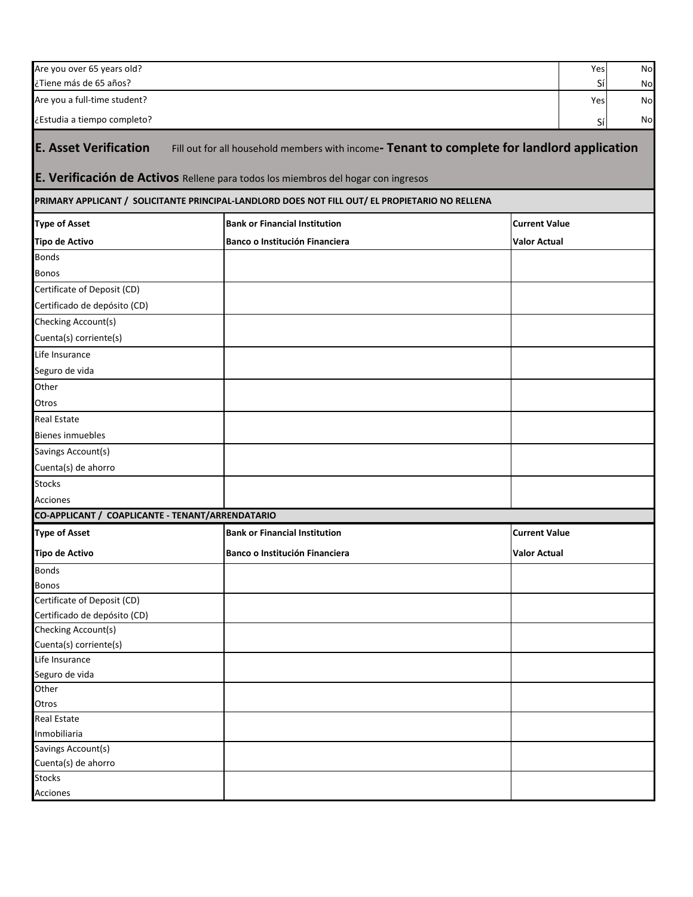| Are you over 65 years old?                       |                                                                                                 | Yes                  | No |
|--------------------------------------------------|-------------------------------------------------------------------------------------------------|----------------------|----|
| ¿Tiene más de 65 años?                           | Sí                                                                                              | No                   |    |
| Are you a full-time student?                     |                                                                                                 | Yes                  | No |
| ¿Estudia a tiempo completo?                      |                                                                                                 | Sí                   | No |
|                                                  |                                                                                                 |                      |    |
| <b>E. Asset Verification</b>                     | Fill out for all household members with income- Tenant to complete for landlord application     |                      |    |
|                                                  | E. Verificación de Activos Rellene para todos los miembros del hogar con ingresos               |                      |    |
|                                                  | PRIMARY APPLICANT / SOLICITANTE PRINCIPAL-LANDLORD DOES NOT FILL OUT/ EL PROPIETARIO NO RELLENA |                      |    |
| <b>Type of Asset</b>                             | <b>Bank or Financial Institution</b>                                                            | <b>Current Value</b> |    |
| <b>Tipo de Activo</b>                            | Banco o Institución Financiera                                                                  | <b>Valor Actual</b>  |    |
| <b>Bonds</b>                                     |                                                                                                 |                      |    |
| <b>Bonos</b>                                     |                                                                                                 |                      |    |
| Certificate of Deposit (CD)                      |                                                                                                 |                      |    |
| Certificado de depósito (CD)                     |                                                                                                 |                      |    |
| Checking Account(s)                              |                                                                                                 |                      |    |
| Cuenta(s) corriente(s)                           |                                                                                                 |                      |    |
| Life Insurance                                   |                                                                                                 |                      |    |
|                                                  |                                                                                                 |                      |    |
| Seguro de vida                                   |                                                                                                 |                      |    |
| Other                                            |                                                                                                 |                      |    |
| Otros                                            |                                                                                                 |                      |    |
| <b>Real Estate</b>                               |                                                                                                 |                      |    |
| <b>Bienes inmuebles</b>                          |                                                                                                 |                      |    |
| Savings Account(s)                               |                                                                                                 |                      |    |
| Cuenta(s) de ahorro                              |                                                                                                 |                      |    |
| <b>Stocks</b>                                    |                                                                                                 |                      |    |
| Acciones                                         |                                                                                                 |                      |    |
| CO-APPLICANT / COAPLICANTE - TENANT/ARRENDATARIO |                                                                                                 |                      |    |
| <b>Type of Asset</b>                             | <b>Bank or Financial Institution</b>                                                            | <b>Current Value</b> |    |
| <b>Tipo de Activo</b>                            | Banco o Institución Financiera                                                                  | <b>Valor Actual</b>  |    |
| <b>Bonds</b>                                     |                                                                                                 |                      |    |
| <b>Bonos</b>                                     |                                                                                                 |                      |    |
| Certificate of Deposit (CD)                      |                                                                                                 |                      |    |
| Certificado de depósito (CD)                     |                                                                                                 |                      |    |
| Checking Account(s)                              |                                                                                                 |                      |    |
| Cuenta(s) corriente(s)                           |                                                                                                 |                      |    |
| Life Insurance                                   |                                                                                                 |                      |    |
| Seguro de vida                                   |                                                                                                 |                      |    |
| Other                                            |                                                                                                 |                      |    |
| Otros                                            |                                                                                                 |                      |    |
| <b>Real Estate</b>                               |                                                                                                 |                      |    |
| Inmobiliaria                                     |                                                                                                 |                      |    |
| Savings Account(s)                               |                                                                                                 |                      |    |
| Cuenta(s) de ahorro                              |                                                                                                 |                      |    |
| <b>Stocks</b><br><b>Acciones</b>                 |                                                                                                 |                      |    |
|                                                  |                                                                                                 |                      |    |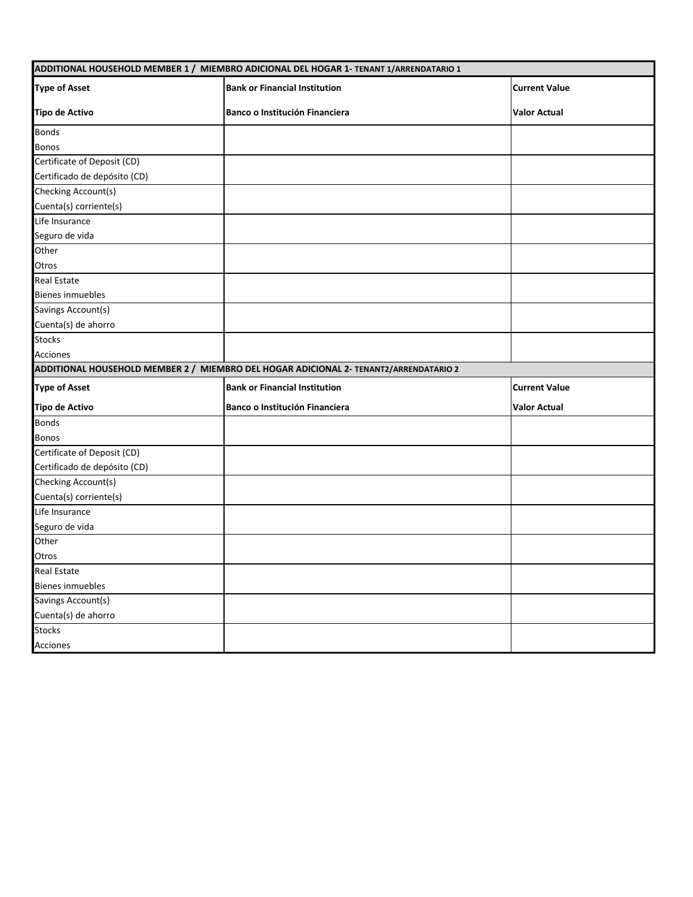| ADDITIONAL HOUSEHOLD MEMBER 1 / MIEMBRO ADICIONAL DEL HOGAR 1- TENANT 1/ARRENDATARIO 1 |                                                                                       |                      |  |  |  |  |
|----------------------------------------------------------------------------------------|---------------------------------------------------------------------------------------|----------------------|--|--|--|--|
| <b>Type of Asset</b>                                                                   | <b>Bank or Financial Institution</b>                                                  | <b>Current Value</b> |  |  |  |  |
| <b>Tipo de Activo</b>                                                                  | Banco o Institución Financiera                                                        | <b>Valor Actual</b>  |  |  |  |  |
| <b>Bonds</b>                                                                           |                                                                                       |                      |  |  |  |  |
| <b>Bonos</b>                                                                           |                                                                                       |                      |  |  |  |  |
| Certificate of Deposit (CD)                                                            |                                                                                       |                      |  |  |  |  |
| Certificado de depósito (CD)                                                           |                                                                                       |                      |  |  |  |  |
| Checking Account(s)                                                                    |                                                                                       |                      |  |  |  |  |
| Cuenta(s) corriente(s)                                                                 |                                                                                       |                      |  |  |  |  |
| Life Insurance                                                                         |                                                                                       |                      |  |  |  |  |
| Seguro de vida                                                                         |                                                                                       |                      |  |  |  |  |
| Other                                                                                  |                                                                                       |                      |  |  |  |  |
| Otros                                                                                  |                                                                                       |                      |  |  |  |  |
| <b>Real Estate</b>                                                                     |                                                                                       |                      |  |  |  |  |
| <b>Bienes inmuebles</b>                                                                |                                                                                       |                      |  |  |  |  |
| Savings Account(s)                                                                     |                                                                                       |                      |  |  |  |  |
| Cuenta(s) de ahorro                                                                    |                                                                                       |                      |  |  |  |  |
| <b>Stocks</b>                                                                          |                                                                                       |                      |  |  |  |  |
| Acciones                                                                               |                                                                                       |                      |  |  |  |  |
|                                                                                        | ADDITIONAL HOUSEHOLD MEMBER 2 / MIEMBRO DEL HOGAR ADICIONAL 2- TENANT2/ARRENDATARIO 2 |                      |  |  |  |  |
| <b>Type of Asset</b>                                                                   | <b>Bank or Financial Institution</b>                                                  | <b>Current Value</b> |  |  |  |  |
| <b>Tipo de Activo</b>                                                                  | Banco o Institución Financiera                                                        | <b>Valor Actual</b>  |  |  |  |  |
| <b>Bonds</b>                                                                           |                                                                                       |                      |  |  |  |  |
| <b>Bonos</b>                                                                           |                                                                                       |                      |  |  |  |  |
| Certificate of Deposit (CD)                                                            |                                                                                       |                      |  |  |  |  |
| Certificado de depósito (CD)                                                           |                                                                                       |                      |  |  |  |  |
| Checking Account(s)                                                                    |                                                                                       |                      |  |  |  |  |
| Cuenta(s) corriente(s)                                                                 |                                                                                       |                      |  |  |  |  |
| Life Insurance                                                                         |                                                                                       |                      |  |  |  |  |
| Seguro de vida                                                                         |                                                                                       |                      |  |  |  |  |
| Other                                                                                  |                                                                                       |                      |  |  |  |  |
| Otros                                                                                  |                                                                                       |                      |  |  |  |  |
| <b>Real Estate</b>                                                                     |                                                                                       |                      |  |  |  |  |
| <b>Bienes inmuebles</b>                                                                |                                                                                       |                      |  |  |  |  |
| Savings Account(s)                                                                     |                                                                                       |                      |  |  |  |  |
| Cuenta(s) de ahorro                                                                    |                                                                                       |                      |  |  |  |  |
| <b>Stocks</b>                                                                          |                                                                                       |                      |  |  |  |  |
|                                                                                        |                                                                                       |                      |  |  |  |  |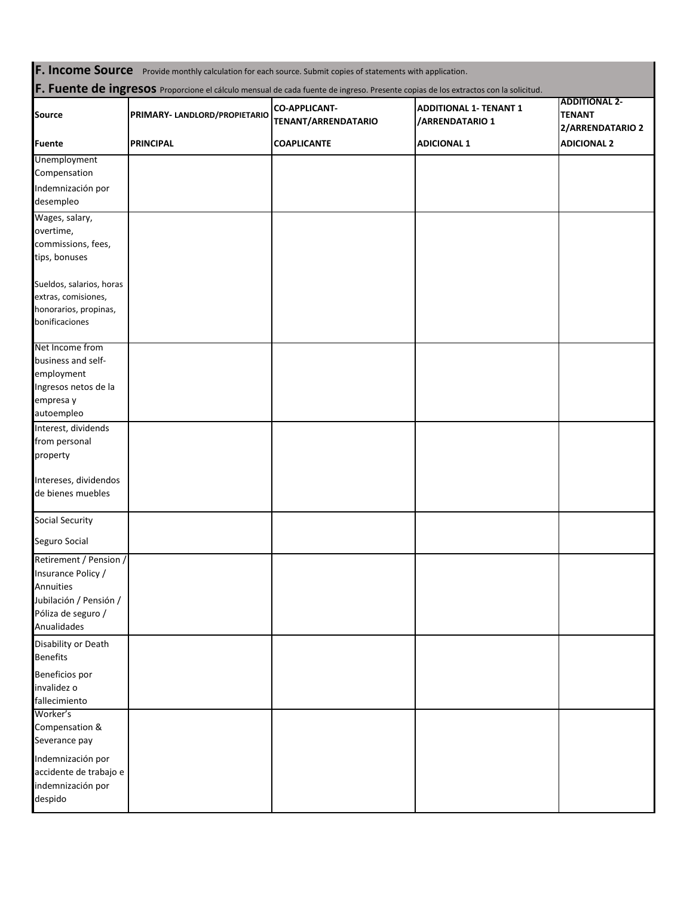**F. Income Source** Provide monthly calculation for each source. Submit copies of statements with application. **F. Fuente de ingresos** Proporcione el cálculo mensual de cada fuente de ingreso. Presente copias de los extractos con la solicitud. **COAPLICANTE ADICIONAL 1 Source PRIMARY- LANDLORD/PROPIETARIO CO-APPLICANT-TENANT/ARRENDATARIO ADDITIONAL 1- TENANT 1 /ARRENDATARIO 1 ADDITIONAL 2- TENANT 2/ARRENDATARIO 2 Fuente PRINCIPAL ADICIONAL 2** Unemployment Compensation Indemnización por desempleo Wages, salary, overtime, commissions, fees, tips, bonuses Sueldos, salarios, horas extras, comisiones, honorarios, propinas, bonificaciones Net Income from business and selfemployment Ingresos netos de la empresa y autoempleo Interest, dividends from personal property Intereses, dividendos de bienes muebles Social Security Seguro Social Retirement / Pension / Insurance Policy / Annuities Jubilación / Pensión / Póliza de seguro / Anualidades Disability or Death Benefits Beneficios por invalidez o fallecimiento Worker's Compensation & Severance pay Indemnización por accidente de trabajo e indemnización por despido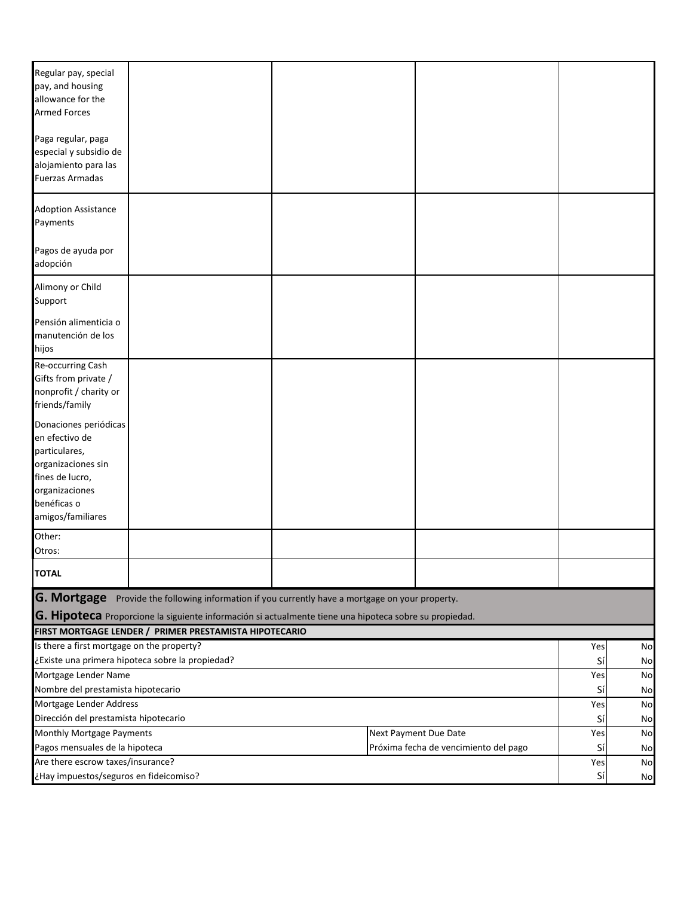| Regular pay, special<br>pay, and housing<br>allowance for the<br><b>Armed Forces</b>              |                                                                                                                                                                                                |  |  |                                       |           |           |
|---------------------------------------------------------------------------------------------------|------------------------------------------------------------------------------------------------------------------------------------------------------------------------------------------------|--|--|---------------------------------------|-----------|-----------|
| Paga regular, paga<br>especial y subsidio de<br>alojamiento para las<br><b>Fuerzas Armadas</b>    |                                                                                                                                                                                                |  |  |                                       |           |           |
| <b>Adoption Assistance</b><br>Payments                                                            |                                                                                                                                                                                                |  |  |                                       |           |           |
| Pagos de ayuda por<br>adopción                                                                    |                                                                                                                                                                                                |  |  |                                       |           |           |
| Alimony or Child<br>Support                                                                       |                                                                                                                                                                                                |  |  |                                       |           |           |
| Pensión alimenticia o<br>manutención de los<br>hijos                                              |                                                                                                                                                                                                |  |  |                                       |           |           |
| Re-occurring Cash<br>Gifts from private /<br>nonprofit / charity or<br>friends/family             |                                                                                                                                                                                                |  |  |                                       |           |           |
| Donaciones periódicas<br>en efectivo de<br>particulares,<br>organizaciones sin<br>fines de lucro, |                                                                                                                                                                                                |  |  |                                       |           |           |
| organizaciones<br>benéficas o<br>amigos/familiares                                                |                                                                                                                                                                                                |  |  |                                       |           |           |
| Other:<br>Otros:                                                                                  |                                                                                                                                                                                                |  |  |                                       |           |           |
| <b>TOTAL</b>                                                                                      |                                                                                                                                                                                                |  |  |                                       |           |           |
| <b>G. Mortgage</b>                                                                                | Provide the following information if you currently have a mortgage on your property.<br>G. Hipoteca Proporcione la siguiente información si actualmente tiene una hipoteca sobre su propiedad. |  |  |                                       |           |           |
|                                                                                                   | FIRST MORTGAGE LENDER / PRIMER PRESTAMISTA HIPOTECARIO                                                                                                                                         |  |  |                                       |           |           |
| Is there a first mortgage on the property?                                                        |                                                                                                                                                                                                |  |  |                                       | Yes       | No        |
|                                                                                                   | ¿Existe una primera hipoteca sobre la propiedad?                                                                                                                                               |  |  |                                       | Sí        | No        |
| Mortgage Lender Name                                                                              |                                                                                                                                                                                                |  |  |                                       | Yes       | No        |
| Nombre del prestamista hipotecario                                                                |                                                                                                                                                                                                |  |  |                                       | Sí        | No        |
| Mortgage Lender Address                                                                           |                                                                                                                                                                                                |  |  |                                       | Yes       | No        |
| Dirección del prestamista hipotecario                                                             |                                                                                                                                                                                                |  |  |                                       | Sí        | No        |
| Monthly Mortgage Payments                                                                         |                                                                                                                                                                                                |  |  | Next Payment Due Date                 | Yes       | No        |
| Pagos mensuales de la hipoteca                                                                    |                                                                                                                                                                                                |  |  | Próxima fecha de vencimiento del pago | Sí        | No        |
| Are there escrow taxes/insurance?                                                                 |                                                                                                                                                                                                |  |  |                                       | Yes<br>Sí | <b>No</b> |
| ¿Hay impuestos/seguros en fideicomiso?                                                            |                                                                                                                                                                                                |  |  |                                       |           | No        |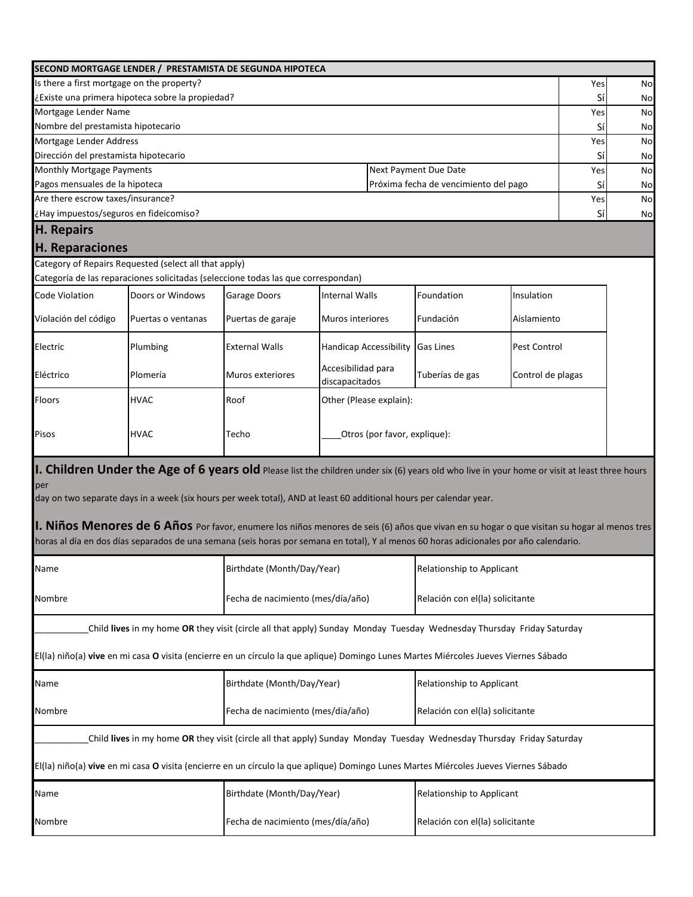| SECOND MORTGAGE LENDER / PRESTAMISTA DE SEGUNDA HIPOTECA                                                                                                                                                                                                                                                                                                                                                                                                                                                                                                                    |                                                         |                                      |                              |                                       |                   |     |    |
|-----------------------------------------------------------------------------------------------------------------------------------------------------------------------------------------------------------------------------------------------------------------------------------------------------------------------------------------------------------------------------------------------------------------------------------------------------------------------------------------------------------------------------------------------------------------------------|---------------------------------------------------------|--------------------------------------|------------------------------|---------------------------------------|-------------------|-----|----|
| Is there a first mortgage on the property?                                                                                                                                                                                                                                                                                                                                                                                                                                                                                                                                  |                                                         |                                      |                              |                                       |                   | Yes | No |
| ¿Existe una primera hipoteca sobre la propiedad?                                                                                                                                                                                                                                                                                                                                                                                                                                                                                                                            |                                                         |                                      |                              |                                       |                   | Sí  | No |
| Mortgage Lender Name                                                                                                                                                                                                                                                                                                                                                                                                                                                                                                                                                        |                                                         |                                      |                              |                                       |                   | Yes | No |
| Nombre del prestamista hipotecario                                                                                                                                                                                                                                                                                                                                                                                                                                                                                                                                          |                                                         |                                      |                              |                                       |                   | Sí  | No |
| Mortgage Lender Address                                                                                                                                                                                                                                                                                                                                                                                                                                                                                                                                                     |                                                         |                                      |                              |                                       |                   | Yes | No |
| Dirección del prestamista hipotecario                                                                                                                                                                                                                                                                                                                                                                                                                                                                                                                                       |                                                         |                                      |                              |                                       |                   | Sí  | No |
| Monthly Mortgage Payments                                                                                                                                                                                                                                                                                                                                                                                                                                                                                                                                                   |                                                         |                                      |                              | Next Payment Due Date                 |                   | Yes | No |
| Pagos mensuales de la hipoteca                                                                                                                                                                                                                                                                                                                                                                                                                                                                                                                                              |                                                         |                                      |                              | Próxima fecha de vencimiento del pago |                   | Sí  | No |
| Are there escrow taxes/insurance?                                                                                                                                                                                                                                                                                                                                                                                                                                                                                                                                           |                                                         |                                      |                              |                                       |                   | Yes | No |
| ¿Hay impuestos/seguros en fideicomiso?                                                                                                                                                                                                                                                                                                                                                                                                                                                                                                                                      |                                                         |                                      |                              |                                       |                   | Sí  | No |
| H. Repairs                                                                                                                                                                                                                                                                                                                                                                                                                                                                                                                                                                  |                                                         |                                      |                              |                                       |                   |     |    |
| H. Reparaciones                                                                                                                                                                                                                                                                                                                                                                                                                                                                                                                                                             |                                                         |                                      |                              |                                       |                   |     |    |
| Category of Repairs Requested (select all that apply)                                                                                                                                                                                                                                                                                                                                                                                                                                                                                                                       |                                                         |                                      |                              |                                       |                   |     |    |
| Categoría de las reparaciones solicitadas (seleccione todas las que correspondan)                                                                                                                                                                                                                                                                                                                                                                                                                                                                                           |                                                         |                                      |                              |                                       |                   |     |    |
| Code Violation<br>Doors or Windows                                                                                                                                                                                                                                                                                                                                                                                                                                                                                                                                          | <b>Garage Doors</b>                                     | <b>Internal Walls</b>                |                              | Foundation                            | Insulation        |     |    |
| Violación del código<br>Puertas o ventanas                                                                                                                                                                                                                                                                                                                                                                                                                                                                                                                                  | Puertas de garaje                                       | Muros interiores                     |                              | Fundación                             | Aislamiento       |     |    |
| Plumbing<br>Electric                                                                                                                                                                                                                                                                                                                                                                                                                                                                                                                                                        | <b>External Walls</b>                                   | <b>Handicap Accessibility</b>        |                              | <b>Gas Lines</b>                      | Pest Control      |     |    |
| Eléctrico<br>Plomería                                                                                                                                                                                                                                                                                                                                                                                                                                                                                                                                                       | Muros exteriores                                        | Accesibilidad para<br>discapacitados |                              | Tuberías de gas                       | Control de plagas |     |    |
| Floors<br><b>HVAC</b>                                                                                                                                                                                                                                                                                                                                                                                                                                                                                                                                                       | Roof                                                    |                                      | Other (Please explain):      |                                       |                   |     |    |
| Pisos<br><b>HVAC</b>                                                                                                                                                                                                                                                                                                                                                                                                                                                                                                                                                        | Techo                                                   |                                      | Otros (por favor, explique): |                                       |                   |     |    |
| 1. Children Under the Age of 6 years old Please list the children under six (6) years old who live in your home or visit at least three hours<br>per<br>day on two separate days in a week (six hours per week total), AND at least 60 additional hours per calendar year.<br><b>II. Niños Menores de 6 Años</b> Por favor, enumere los niños menores de seis (6) años que vivan en su hogar o que visitan su hogar al menos tres<br>horas al día en dos días separados de una semana (seis horas por semana en total), Y al menos 60 horas adicionales por año calendario. |                                                         |                                      |                              |                                       |                   |     |    |
| Name                                                                                                                                                                                                                                                                                                                                                                                                                                                                                                                                                                        | Birthdate (Month/Day/Year)                              |                                      |                              | Relationship to Applicant             |                   |     |    |
| Nombre                                                                                                                                                                                                                                                                                                                                                                                                                                                                                                                                                                      | Fecha de nacimiento (mes/día/año)                       |                                      |                              | Relación con el(la) solicitante       |                   |     |    |
| Child lives in my home OR they visit (circle all that apply) Sunday Monday Tuesday Wednesday Thursday Friday Saturday                                                                                                                                                                                                                                                                                                                                                                                                                                                       |                                                         |                                      |                              |                                       |                   |     |    |
| El(la) niño(a) vive en mi casa O visita (encierre en un círculo la que aplique) Domingo Lunes Martes Miércoles Jueves Viernes Sábado                                                                                                                                                                                                                                                                                                                                                                                                                                        |                                                         |                                      |                              |                                       |                   |     |    |
| Name                                                                                                                                                                                                                                                                                                                                                                                                                                                                                                                                                                        | Birthdate (Month/Day/Year)<br>Relationship to Applicant |                                      |                              |                                       |                   |     |    |
| Fecha de nacimiento (mes/día/año)<br>Relación con el(la) solicitante<br>Nombre                                                                                                                                                                                                                                                                                                                                                                                                                                                                                              |                                                         |                                      |                              |                                       |                   |     |    |
| Child lives in my home OR they visit (circle all that apply) Sunday Monday Tuesday Wednesday Thursday Friday Saturday                                                                                                                                                                                                                                                                                                                                                                                                                                                       |                                                         |                                      |                              |                                       |                   |     |    |
| El(la) niño(a) vive en mi casa O visita (encierre en un círculo la que aplique) Domingo Lunes Martes Miércoles Jueves Viernes Sábado                                                                                                                                                                                                                                                                                                                                                                                                                                        |                                                         |                                      |                              |                                       |                   |     |    |
| Name                                                                                                                                                                                                                                                                                                                                                                                                                                                                                                                                                                        | Birthdate (Month/Day/Year)                              |                                      |                              | Relationship to Applicant             |                   |     |    |
| Fecha de nacimiento (mes/día/año)<br>Relación con el(la) solicitante<br>Nombre                                                                                                                                                                                                                                                                                                                                                                                                                                                                                              |                                                         |                                      |                              |                                       |                   |     |    |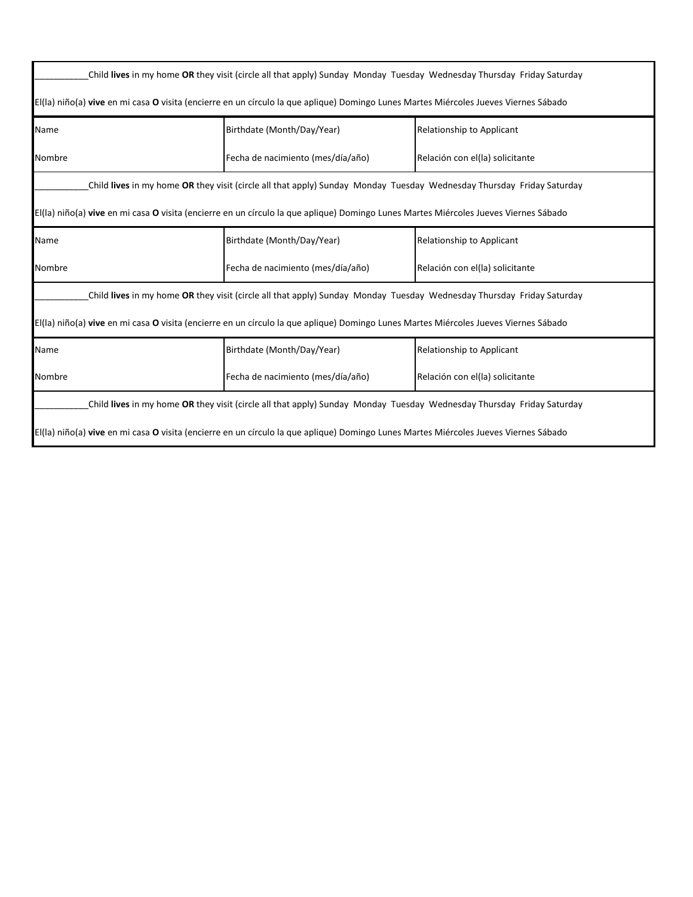| Child lives in my home OR they visit (circle all that apply) Sunday Monday Tuesday Wednesday Thursday Friday Saturday                |                                                                                                                                      |                                  |  |  |  |  |
|--------------------------------------------------------------------------------------------------------------------------------------|--------------------------------------------------------------------------------------------------------------------------------------|----------------------------------|--|--|--|--|
|                                                                                                                                      | El(la) niño(a) vive en mi casa O visita (encierre en un círculo la que aplique) Domingo Lunes Martes Miércoles Jueves Viernes Sábado |                                  |  |  |  |  |
| Name                                                                                                                                 | Birthdate (Month/Day/Year)                                                                                                           | Relationship to Applicant        |  |  |  |  |
| Nombre                                                                                                                               | Fecha de nacimiento (mes/día/año)                                                                                                    | Relación con el(la) solicitante  |  |  |  |  |
|                                                                                                                                      | Child lives in my home OR they visit (circle all that apply) Sunday Monday Tuesday Wednesday Thursday Friday Saturday                |                                  |  |  |  |  |
|                                                                                                                                      | El(la) niño(a) vive en mi casa O visita (encierre en un círculo la que aplique) Domingo Lunes Martes Miércoles Jueves Viernes Sábado |                                  |  |  |  |  |
| Name                                                                                                                                 | Birthdate (Month/Day/Year)                                                                                                           | <b>Relationship to Applicant</b> |  |  |  |  |
| Nombre                                                                                                                               | Fecha de nacimiento (mes/día/año)                                                                                                    | Relación con el(la) solicitante  |  |  |  |  |
|                                                                                                                                      | Child lives in my home OR they visit (circle all that apply) Sunday Monday Tuesday Wednesday Thursday Friday Saturday                |                                  |  |  |  |  |
|                                                                                                                                      | El(la) niño(a) vive en mi casa O visita (encierre en un círculo la que aplique) Domingo Lunes Martes Miércoles Jueves Viernes Sábado |                                  |  |  |  |  |
| Name                                                                                                                                 | Birthdate (Month/Day/Year)                                                                                                           | Relationship to Applicant        |  |  |  |  |
| Nombre                                                                                                                               | Fecha de nacimiento (mes/día/año)<br>Relación con el(la) solicitante                                                                 |                                  |  |  |  |  |
| Child lives in my home OR they visit (circle all that apply) Sunday Monday Tuesday Wednesday Thursday Friday Saturday                |                                                                                                                                      |                                  |  |  |  |  |
| El(la) niño(a) vive en mi casa O visita (encierre en un círculo la que aplique) Domingo Lunes Martes Miércoles Jueves Viernes Sábado |                                                                                                                                      |                                  |  |  |  |  |